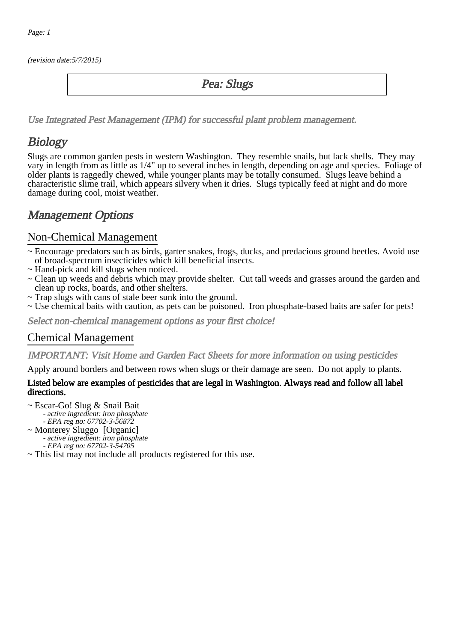(revision date:5/7/2015)

## Pea: Slugs

[Use Integrated Pest Management \(IPM\) for successful plant problem management.](http://pep.wsu.edu/Home_Garden/H_G_Pesticide_info/urban_Integrated_Pest_Managmen/)

# **Biology**

Slugs are common garden pests in western Washington. They resemble snails, but lack shells. They may vary in length from as little as 1/4" up to several inches in length, depending on age and species. Foliage of older plants is raggedly chewed, while younger plants may be totally consumed. Slugs leave behind a characteristic slime trail, which appears silvery when it dries. Slugs typically feed at night and do more damage during cool, moist weather.

## Management Options

#### Non-Chemical Management

- ~ Encourage predators such as birds, garter snakes, frogs, ducks, and predacious ground beetles. Avoid use of broad-spectrum insecticides which kill beneficial insects.
- ~ Hand-pick and kill slugs when noticed.
- ~ Clean up weeds and debris which may provide shelter. Cut tall weeds and grasses around the garden and clean up rocks, boards, and other shelters.
- ~ Trap slugs with cans of stale beer sunk into the ground.
- ~ Use chemical baits with caution, as pets can be poisoned. Iron phosphate-based baits are safer for pets!

Select non-chemical management options as your first choice!

### Chemical Management

#### IMPORTANT: [Visit Home and Garden Fact Sheets for more information on using pesticides](http://pep.wsu.edu/Home_Garden/H_G_Pesticide_info/)

Apply around borders and between rows when slugs or their damage are seen. Do not apply to plants.

#### Listed below are examples of pesticides that are legal in Washington. Always read and follow all label directions.

- ~ Escar-Go! Slug & Snail Bait
	- active ingredient: iron phosphate
	- EPA reg no: 67702-3-56872
- ~ Monterey Sluggo [Organic] - active ingredient: iron phosphate - EPA reg no: 67702-3-54705
- ~ This list may not include all products registered for this use.